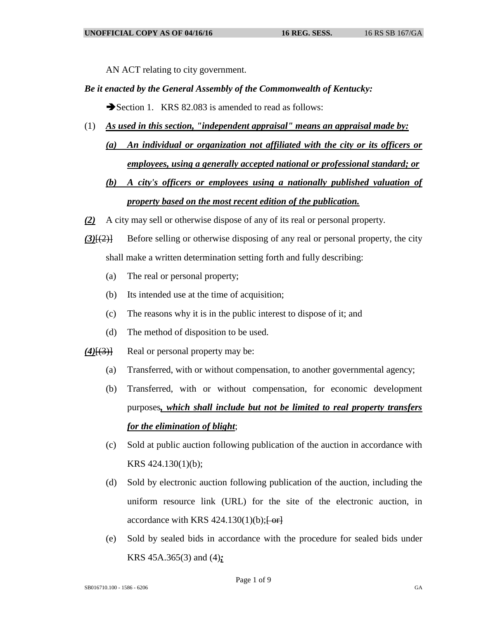AN ACT relating to city government.

## *Be it enacted by the General Assembly of the Commonwealth of Kentucky:*

Section 1. KRS 82.083 is amended to read as follows:

- (1) *As used in this section, "independent appraisal" means an appraisal made by:*
	- *(a) An individual or organization not affiliated with the city or its officers or employees, using a generally accepted national or professional standard; or*

## *(b) A city's officers or employees using a nationally published valuation of property based on the most recent edition of the publication.*

- *(2)* A city may sell or otherwise dispose of any of its real or personal property.
- *(3)*[(2)] Before selling or otherwise disposing of any real or personal property, the city shall make a written determination setting forth and fully describing:
	- (a) The real or personal property;
	- (b) Its intended use at the time of acquisition;
	- (c) The reasons why it is in the public interest to dispose of it; and
	- (d) The method of disposition to be used.
- *(4)*[(3)] Real or personal property may be:
	- (a) Transferred, with or without compensation, to another governmental agency;
	- (b) Transferred, with or without compensation, for economic development purposes*, which shall include but not be limited to real property transfers for the elimination of blight*;
	- (c) Sold at public auction following publication of the auction in accordance with KRS 424.130(1)(b);
	- (d) Sold by electronic auction following publication of the auction, including the uniform resource link (URL) for the site of the electronic auction, in accordance with KRS  $424.130(1)(b)$ ; [ $-$ or]
	- (e) Sold by sealed bids in accordance with the procedure for sealed bids under KRS 45A.365(3) and (4)*;*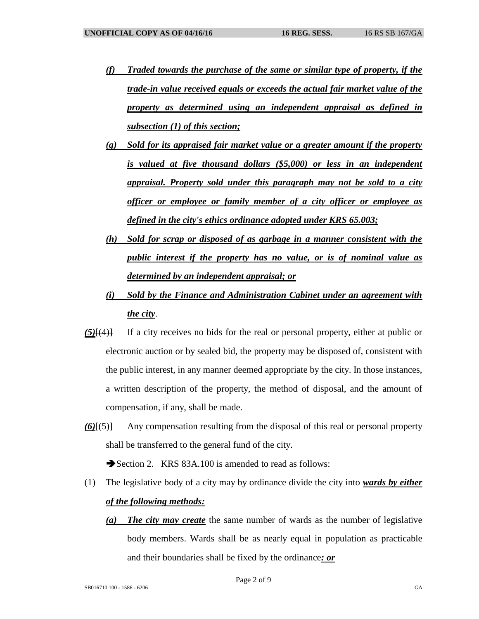- *(f) Traded towards the purchase of the same or similar type of property, if the trade-in value received equals or exceeds the actual fair market value of the property as determined using an independent appraisal as defined in subsection (1) of this section;*
- *(g) Sold for its appraised fair market value or a greater amount if the property is valued at five thousand dollars (\$5,000) or less in an independent appraisal. Property sold under this paragraph may not be sold to a city officer or employee or family member of a city officer or employee as defined in the city's ethics ordinance adopted under KRS 65.003;*
- *(h) Sold for scrap or disposed of as garbage in a manner consistent with the public interest if the property has no value, or is of nominal value as determined by an independent appraisal; or*
- *(i) Sold by the Finance and Administration Cabinet under an agreement with the city*.
- *(5)*[(4)] If a city receives no bids for the real or personal property, either at public or electronic auction or by sealed bid, the property may be disposed of, consistent with the public interest, in any manner deemed appropriate by the city. In those instances, a written description of the property, the method of disposal, and the amount of compensation, if any, shall be made.
- *(6)*[(5)] Any compensation resulting from the disposal of this real or personal property shall be transferred to the general fund of the city.

Section 2. KRS 83A.100 is amended to read as follows:

- (1) The legislative body of a city may by ordinance divide the city into *wards by either of the following methods:*
	- *(a) The city may create* the same number of wards as the number of legislative body members. Wards shall be as nearly equal in population as practicable and their boundaries shall be fixed by the ordinance*: or*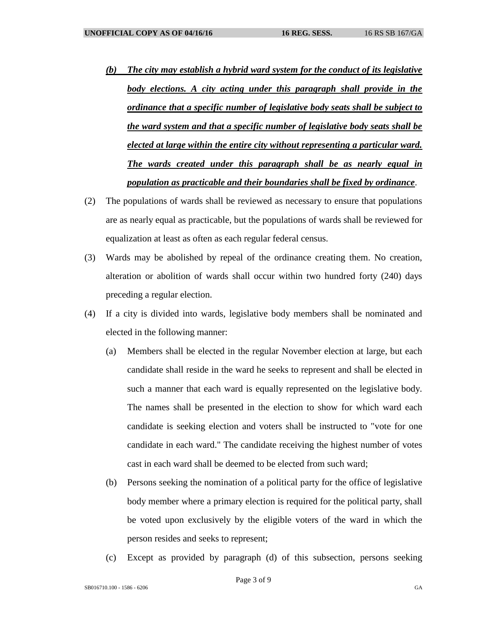- *(b) The city may establish a hybrid ward system for the conduct of its legislative body elections. A city acting under this paragraph shall provide in the ordinance that a specific number of legislative body seats shall be subject to the ward system and that a specific number of legislative body seats shall be elected at large within the entire city without representing a particular ward. The wards created under this paragraph shall be as nearly equal in population as practicable and their boundaries shall be fixed by ordinance*.
- (2) The populations of wards shall be reviewed as necessary to ensure that populations are as nearly equal as practicable, but the populations of wards shall be reviewed for equalization at least as often as each regular federal census.
- (3) Wards may be abolished by repeal of the ordinance creating them. No creation, alteration or abolition of wards shall occur within two hundred forty (240) days preceding a regular election.
- (4) If a city is divided into wards, legislative body members shall be nominated and elected in the following manner:
	- (a) Members shall be elected in the regular November election at large, but each candidate shall reside in the ward he seeks to represent and shall be elected in such a manner that each ward is equally represented on the legislative body. The names shall be presented in the election to show for which ward each candidate is seeking election and voters shall be instructed to "vote for one candidate in each ward." The candidate receiving the highest number of votes cast in each ward shall be deemed to be elected from such ward;
	- (b) Persons seeking the nomination of a political party for the office of legislative body member where a primary election is required for the political party, shall be voted upon exclusively by the eligible voters of the ward in which the person resides and seeks to represent;
	- (c) Except as provided by paragraph (d) of this subsection, persons seeking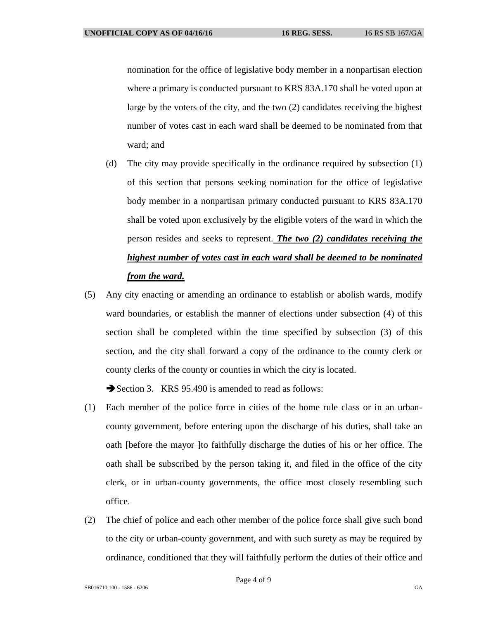nomination for the office of legislative body member in a nonpartisan election where a primary is conducted pursuant to KRS 83A.170 shall be voted upon at large by the voters of the city, and the two (2) candidates receiving the highest number of votes cast in each ward shall be deemed to be nominated from that ward; and

- (d) The city may provide specifically in the ordinance required by subsection (1) of this section that persons seeking nomination for the office of legislative body member in a nonpartisan primary conducted pursuant to KRS 83A.170 shall be voted upon exclusively by the eligible voters of the ward in which the person resides and seeks to represent. *The two (2) candidates receiving the highest number of votes cast in each ward shall be deemed to be nominated from the ward.*
- (5) Any city enacting or amending an ordinance to establish or abolish wards, modify ward boundaries, or establish the manner of elections under subsection (4) of this section shall be completed within the time specified by subsection (3) of this section, and the city shall forward a copy of the ordinance to the county clerk or county clerks of the county or counties in which the city is located.

Section 3. KRS 95.490 is amended to read as follows:

- (1) Each member of the police force in cities of the home rule class or in an urbancounty government, before entering upon the discharge of his duties, shall take an oath <del>[before the mayor]</del>to faithfully discharge the duties of his or her office. The oath shall be subscribed by the person taking it, and filed in the office of the city clerk, or in urban-county governments, the office most closely resembling such office.
- (2) The chief of police and each other member of the police force shall give such bond to the city or urban-county government, and with such surety as may be required by ordinance, conditioned that they will faithfully perform the duties of their office and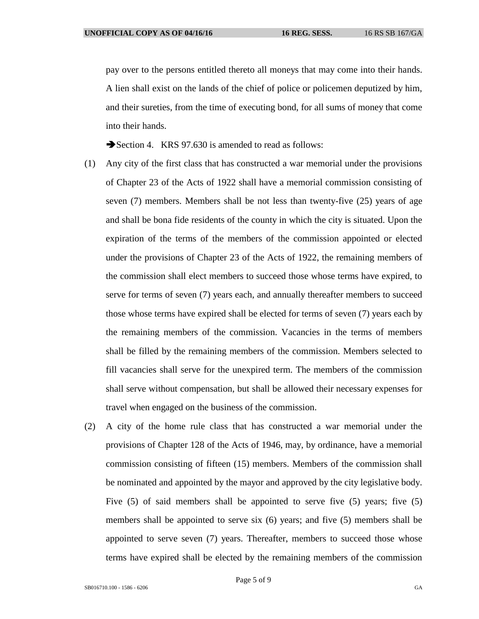pay over to the persons entitled thereto all moneys that may come into their hands. A lien shall exist on the lands of the chief of police or policemen deputized by him, and their sureties, from the time of executing bond, for all sums of money that come into their hands.

Section 4. KRS 97.630 is amended to read as follows:

- (1) Any city of the first class that has constructed a war memorial under the provisions of Chapter 23 of the Acts of 1922 shall have a memorial commission consisting of seven (7) members. Members shall be not less than twenty-five (25) years of age and shall be bona fide residents of the county in which the city is situated. Upon the expiration of the terms of the members of the commission appointed or elected under the provisions of Chapter 23 of the Acts of 1922, the remaining members of the commission shall elect members to succeed those whose terms have expired, to serve for terms of seven (7) years each, and annually thereafter members to succeed those whose terms have expired shall be elected for terms of seven (7) years each by the remaining members of the commission. Vacancies in the terms of members shall be filled by the remaining members of the commission. Members selected to fill vacancies shall serve for the unexpired term. The members of the commission shall serve without compensation, but shall be allowed their necessary expenses for travel when engaged on the business of the commission.
- (2) A city of the home rule class that has constructed a war memorial under the provisions of Chapter 128 of the Acts of 1946, may, by ordinance, have a memorial commission consisting of fifteen (15) members. Members of the commission shall be nominated and appointed by the mayor and approved by the city legislative body. Five (5) of said members shall be appointed to serve five (5) years; five (5) members shall be appointed to serve six (6) years; and five (5) members shall be appointed to serve seven (7) years. Thereafter, members to succeed those whose terms have expired shall be elected by the remaining members of the commission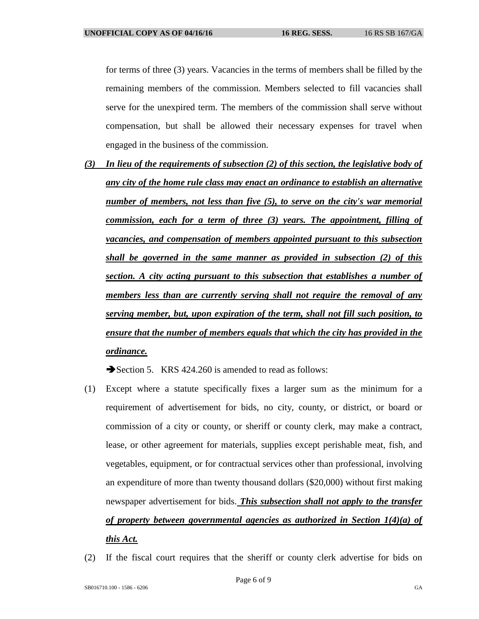for terms of three (3) years. Vacancies in the terms of members shall be filled by the remaining members of the commission. Members selected to fill vacancies shall serve for the unexpired term. The members of the commission shall serve without compensation, but shall be allowed their necessary expenses for travel when engaged in the business of the commission.

*(3) In lieu of the requirements of subsection (2) of this section, the legislative body of any city of the home rule class may enact an ordinance to establish an alternative number of members, not less than five (5), to serve on the city's war memorial commission, each for a term of three (3) years. The appointment, filling of vacancies, and compensation of members appointed pursuant to this subsection shall be governed in the same manner as provided in subsection (2) of this section. A city acting pursuant to this subsection that establishes a number of members less than are currently serving shall not require the removal of any serving member, but, upon expiration of the term, shall not fill such position, to ensure that the number of members equals that which the city has provided in the ordinance.*

Section 5. KRS 424.260 is amended to read as follows:

- (1) Except where a statute specifically fixes a larger sum as the minimum for a requirement of advertisement for bids, no city, county, or district, or board or commission of a city or county, or sheriff or county clerk, may make a contract, lease, or other agreement for materials, supplies except perishable meat, fish, and vegetables, equipment, or for contractual services other than professional, involving an expenditure of more than twenty thousand dollars (\$20,000) without first making newspaper advertisement for bids. *This subsection shall not apply to the transfer of property between governmental agencies as authorized in Section 1(4)(a) of this Act.*
- (2) If the fiscal court requires that the sheriff or county clerk advertise for bids on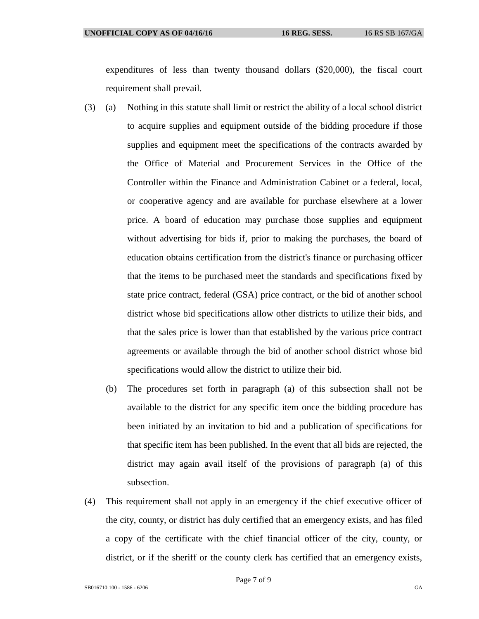expenditures of less than twenty thousand dollars (\$20,000), the fiscal court requirement shall prevail.

- (3) (a) Nothing in this statute shall limit or restrict the ability of a local school district to acquire supplies and equipment outside of the bidding procedure if those supplies and equipment meet the specifications of the contracts awarded by the Office of Material and Procurement Services in the Office of the Controller within the Finance and Administration Cabinet or a federal, local, or cooperative agency and are available for purchase elsewhere at a lower price. A board of education may purchase those supplies and equipment without advertising for bids if, prior to making the purchases, the board of education obtains certification from the district's finance or purchasing officer that the items to be purchased meet the standards and specifications fixed by state price contract, federal (GSA) price contract, or the bid of another school district whose bid specifications allow other districts to utilize their bids, and that the sales price is lower than that established by the various price contract agreements or available through the bid of another school district whose bid specifications would allow the district to utilize their bid.
	- (b) The procedures set forth in paragraph (a) of this subsection shall not be available to the district for any specific item once the bidding procedure has been initiated by an invitation to bid and a publication of specifications for that specific item has been published. In the event that all bids are rejected, the district may again avail itself of the provisions of paragraph (a) of this subsection.
- (4) This requirement shall not apply in an emergency if the chief executive officer of the city, county, or district has duly certified that an emergency exists, and has filed a copy of the certificate with the chief financial officer of the city, county, or district, or if the sheriff or the county clerk has certified that an emergency exists,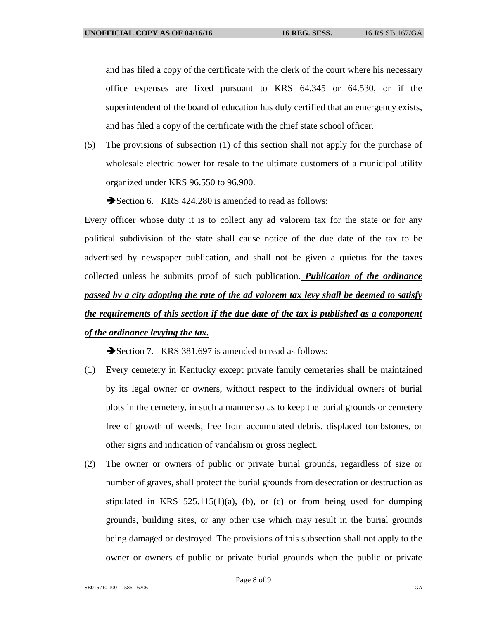and has filed a copy of the certificate with the clerk of the court where his necessary office expenses are fixed pursuant to KRS 64.345 or 64.530, or if the superintendent of the board of education has duly certified that an emergency exists, and has filed a copy of the certificate with the chief state school officer.

(5) The provisions of subsection (1) of this section shall not apply for the purchase of wholesale electric power for resale to the ultimate customers of a municipal utility organized under KRS 96.550 to 96.900.

Section 6. KRS 424.280 is amended to read as follows:

Every officer whose duty it is to collect any ad valorem tax for the state or for any political subdivision of the state shall cause notice of the due date of the tax to be advertised by newspaper publication, and shall not be given a quietus for the taxes collected unless he submits proof of such publication. *Publication of the ordinance passed by a city adopting the rate of the ad valorem tax levy shall be deemed to satisfy the requirements of this section if the due date of the tax is published as a component of the ordinance levying the tax.*

Section 7. KRS 381.697 is amended to read as follows:

- (1) Every cemetery in Kentucky except private family cemeteries shall be maintained by its legal owner or owners, without respect to the individual owners of burial plots in the cemetery, in such a manner so as to keep the burial grounds or cemetery free of growth of weeds, free from accumulated debris, displaced tombstones, or other signs and indication of vandalism or gross neglect.
- (2) The owner or owners of public or private burial grounds, regardless of size or number of graves, shall protect the burial grounds from desecration or destruction as stipulated in KRS  $525.115(1)(a)$ , (b), or (c) or from being used for dumping grounds, building sites, or any other use which may result in the burial grounds being damaged or destroyed. The provisions of this subsection shall not apply to the owner or owners of public or private burial grounds when the public or private